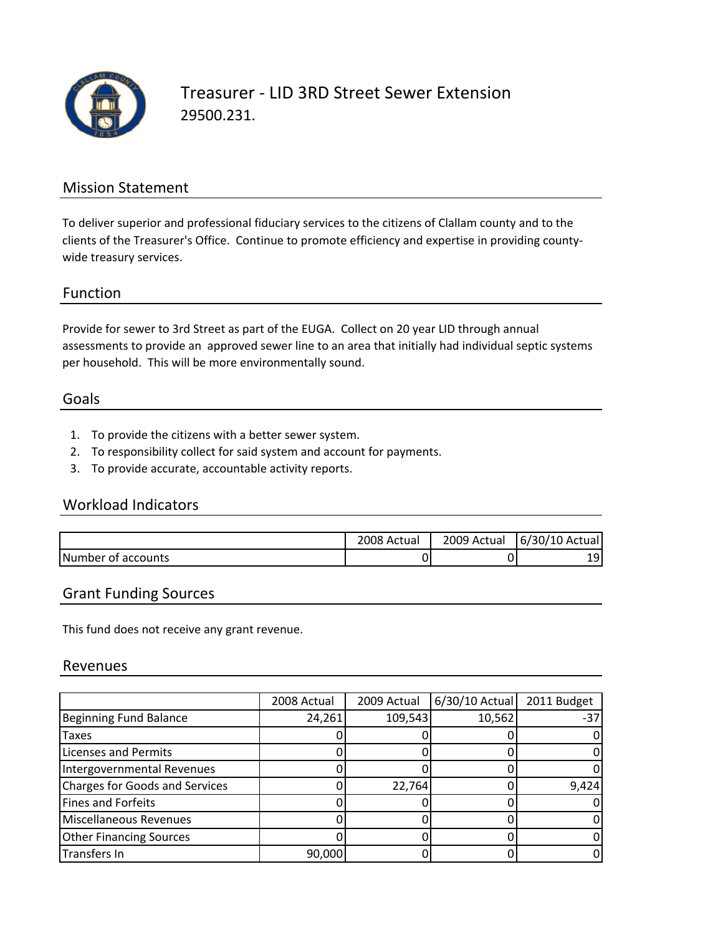

Treasurer ‐ LID 3RD Street Sewer Extension 29500.231.

### Mission Statement

To deliver superior and professional fiduciary services to the citizens of Clallam county and to the clients of the Treasurer's Office. Continue to promote efficiency and expertise in providing county‐ wide treasury services.

#### Function

Provide for sewer to 3rd Street as part of the EUGA. Collect on 20 year LID through annual assessments to provide an approved sewer line to an area that initially had individual septic systems per household. This will be more environmentally sound.

#### Goals

- 1. To provide the citizens with a better sewer system.
- 2. To responsibility collect for said system and account for payments.
- 3. To provide accurate, accountable activity reports.

## Workload Indicators

|                    | 2008 Actual | 2009 Actual | 6/30/10 Actual |
|--------------------|-------------|-------------|----------------|
| Number of accounts | 0           |             | 1 Q            |

#### Grant Funding Sources

This fund does not receive any grant revenue.

#### Revenues

|                                       | 2008 Actual | 2009 Actual | 6/30/10 Actual | 2011 Budget |
|---------------------------------------|-------------|-------------|----------------|-------------|
| Beginning Fund Balance                | 24,261      | 109,543     | 10,562         | -37         |
| Taxes                                 |             |             |                |             |
| <b>Licenses and Permits</b>           |             |             |                |             |
| Intergovernmental Revenues            |             |             |                |             |
| <b>Charges for Goods and Services</b> |             | 22,764      |                | 9,424       |
| <b>Fines and Forfeits</b>             |             |             |                |             |
| Miscellaneous Revenues                |             |             |                |             |
| <b>Other Financing Sources</b>        |             |             |                |             |
| <b>Transfers In</b>                   | 90,000      |             |                |             |